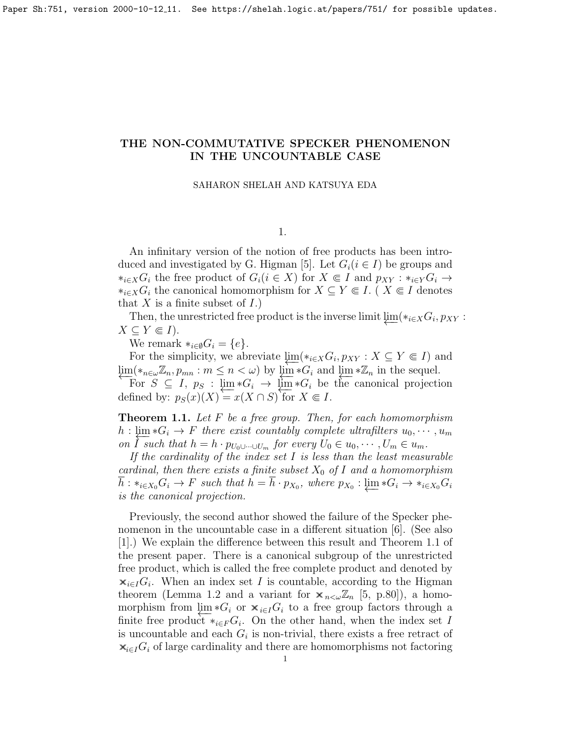# THE NON-COMMUTATIVE SPECKER PHENOMENON IN THE UNCOUNTABLE CASE

### SAHARON SHELAH AND KATSUYA EDA

1.

An infinitary version of the notion of free products has been intro-duced and investigated by G. Higman [\[5\]](#page-3-0). Let  $G_i$  ( $i \in I$ ) be groups and  $*_i\in X}G_i$  the free product of  $G_i(i \in X)$  for  $X \Subset I$  and  $p_{XY} : *_i\in Y}G_i \to$  $*_{{i \in X}}G_i$  the canonical homomorphism for  $X \subseteq Y \Subset I$ . (  $X \Subset I$  denotes that X is a finite subset of  $I$ .)

Then, the unrestricted free product is the inverse limit  $\varprojlim(*_{i\in X}G_i, p_{XY}$ :  $X \subseteq Y \Subset I$ ).

We remark  $*_{{i \in \emptyset}} G_i = \{e\}.$ 

For the simplicity, we abreviate  $\varprojlim(*_{i\in X}G_i, p_{XY} : X \subseteq Y \Subset I)$  and  $\lim_{n \to \infty} (*_{n \in \omega} \mathbb{Z}_n, p_{mn} : m \leq n < \omega)$  by  $\lim_{n \to \infty} *G_i$  and  $\lim_{n \to \infty} * \mathbb{Z}_n$  in the sequel.

For  $S \subseteq I$ ,  $p_S : \lim_{\epsilon \to \infty} *G_i \to \lim_{\epsilon \to \infty} *G_i$  be the canonical projection defined by:  $p_S(x)(X) = x(X \cap S)$  for  $X \in I$ .

<span id="page-0-0"></span>**Theorem 1.1.** Let  $F$  be a free group. Then, for each homomorphism  $h: \lim_{\Sigma} *G_i \to F$  there exist countably complete ultrafilters  $u_0, \dots, u_m$ on  $\overline{I}$  such that  $h = h \cdot p_{U_0 \cup \cdots \cup U_m}$  for every  $U_0 \in u_0, \cdots, U_m \in u_m$ .

If the cardinality of the index set  $I$  is less than the least measurable cardinal, then there exists a finite subset  $X_0$  of I and a homomorphism  $\overline{h}: *_{i \in X_0} G_i \to F$  such that  $h = \overline{h} \cdot p_{X_0}$ , where  $p_{X_0}: \underleftarrow{\lim}_{\longleftarrow} *G_i \to *_{i \in X_0} G_i$ is the canonical projection.

Previously, the second author showed the failure of the Specker phenomenon in the uncountable case in a different situation [\[6\]](#page-3-1). (See also [\[1\]](#page-3-2).) We explain the difference between this result and Theorem [1.1](#page-0-0) of the present paper. There is a canonical subgroup of the unrestricted free product, which is called the free complete product and denoted by  $\mathbf{x}_{i\in I}G_i$ . When an index set I is countable, according to the Higman theorem (Lemma [1.2](#page-1-0) and a variant for  $\mathbf{x}_{n\lt\omega}\mathbb{Z}_n$  [\[5,](#page-3-0) p.80]), a homomorphism from  $\varprojlim *G_i$  or  $\mathbf{x}_{i \in I} G_i$  to a free group factors through a finite free product  $*_{{i \in F}} G_i$ . On the other hand, when the index set I is uncountable and each  $G_i$  is non-trivial, there exists a free retract of  $\mathbf{x}_{i\in I}G_i$  of large cardinality and there are homomorphisms not factoring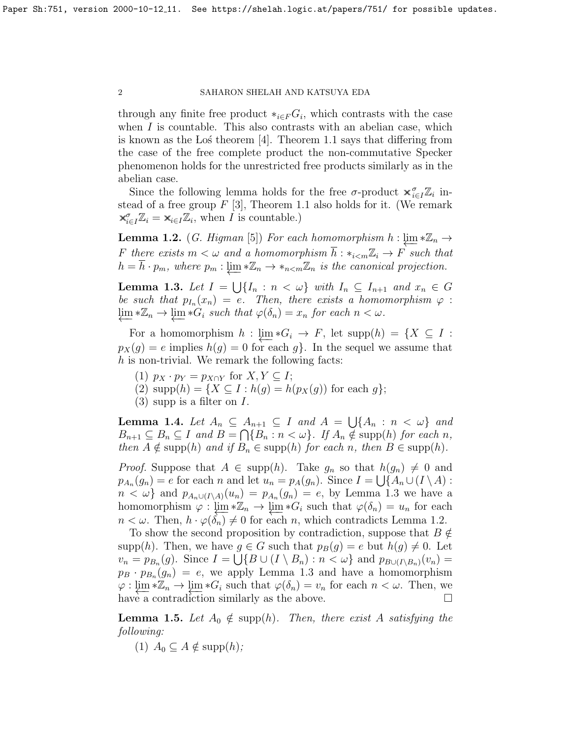## 2 SAHARON SHELAH AND KATSUYA EDA

through any finite free product  $*_{i \in F} G_i$ , which contrasts with the case when  $I$  is countable. This also contrasts with an abelian case, which is known as the Los theorem  $|4|$ . Theorem [1.1](#page-0-0) says that differing from the case of the free complete product the non-commutative Specker phenomenon holds for the unrestricted free products similarly as in the abelian case.

Since the following lemma holds for the free  $\sigma$ -product  $\mathbf{x}_{i\in I}^{\sigma} \mathbb{Z}_i$  instead of a free group  $F[3]$  $F[3]$ , Theorem [1.1](#page-0-0) also holds for it. (We remark  $\mathbf{x}_{i\in I}^{\sigma}\mathbb{Z}_i = \mathbf{x}_{i\in I}\mathbb{Z}_i$ , when *I* is countable.)

<span id="page-1-0"></span>**Lemma 1.2.** (*G. Higman* [\[5\]](#page-3-0)) For each homomorphism  $h : \varprojlim * \mathbb{Z}_n$  → F there exists  $m < \omega$  and a homomorphism  $\overline{h}: *_{i < m}\mathbb{Z}_i \to F$  such that  $h = \overline{h} \cdot p_m$ , where  $p_m : \underleftarrow{\lim} * \mathbb{Z}_n \to *_{n \le m} \mathbb{Z}_n$  is the canonical projection.

<span id="page-1-1"></span>**Lemma 1.3.** Let  $I = \bigcup \{I_n : n < \omega\}$  with  $I_n \subseteq I_{n+1}$  and  $x_n \in G$ be such that  $p_{I_n}(x_n) = e$ . Then, there exists a homomorphism  $\varphi$ :  $\varprojlim * \mathbb{Z}_n \to \varprojlim * \hat{G}_i$  such that  $\varphi(\delta_n) = x_n$  for each  $n < \omega$ .

For a homomorphism  $h : \lim_{h \to \infty} *G_i \to F$ , let  $\text{supp}(h) = \{X \subseteq I :$  $p_X(g) = e$  implies  $h(g) = 0$  for each g. In the sequel we assume that  $h$  is non-trivial. We remark the following facts:

- (1)  $p_X \cdot p_Y = p_{X \cap Y}$  for  $X, Y \subseteq I$ ;
- (2)  $\text{supp}(h) = \{X \subseteq I : h(g) = h(p_X(g)) \text{ for each } g\};$
- $(3)$  supp is a filter on I.

<span id="page-1-2"></span>**Lemma 1.4.** Let  $A_n \subseteq A_{n+1} \subseteq I$  and  $A = \bigcup \{A_n : n < \omega\}$  and  $B_{n+1} \subseteq B_n \subseteq I$  and  $B = \bigcap \{B_n : n < \omega\}$ . If  $A_n \notin \text{supp}(h)$  for each n, then  $A \notin \text{supp}(h)$  and if  $B_n \in \text{supp}(h)$  for each n, then  $B \in \text{supp}(h)$ .

*Proof.* Suppose that  $A \in \text{supp}(h)$ . Take  $g_n$  so that  $h(g_n) \neq 0$  and  $p_{A_n}(g_n) = e$  for each n and let  $u_n = p_A(g_n)$ . Since  $I = \bigcup \{A_n \cup (I \setminus A) : A\}$  $n < \omega$ } and  $p_{A_n \cup (I \setminus A)}(u_n) = p_{A_n}(g_n) = e$ , by Lemma [1.3](#page-1-1) we have a homomorphism  $\varphi : \lim_{n \to \infty} * \mathbb{Z}_n \to \lim_{n \to \infty} *G_i$  such that  $\varphi(\delta_n) = u_n$  for each  $n < \omega$ . Then,  $h \cdot \varphi(\delta_n) \neq 0$  for each n, which contradicts Lemma [1.2.](#page-1-0)

To show the second proposition by contradiction, suppose that  $B \notin \mathcal{C}$ supp(h). Then, we have  $g \in G$  such that  $p_B(g) = e$  but  $h(g) \neq 0$ . Let  $v_n = p_{B_n}(g)$ . Since  $I = \bigcup \{ B \cup (I \setminus B_n) : n < \omega \}$  and  $p_{B \cup (I \setminus B_n)}(v_n) =$  $p_B \cdot p_{B_n}(g_n) = e$ , we apply Lemma [1.3](#page-1-1) and have a homomorphism  $\varphi: \varprojlim_{n} * \mathbb{Z}_n \to \varprojlim_{n} * G_i$  such that  $\varphi(\delta_n) = v_n$  for each  $n < \omega$ . Then, we have a contradiction similarly as the above.  $\Box$ 

<span id="page-1-3"></span>**Lemma 1.5.** Let  $A_0 \notin \text{supp}(h)$ . Then, there exist A satisfying the following:

(1)  $A_0 \subseteq A \notin \text{supp}(h)$ ;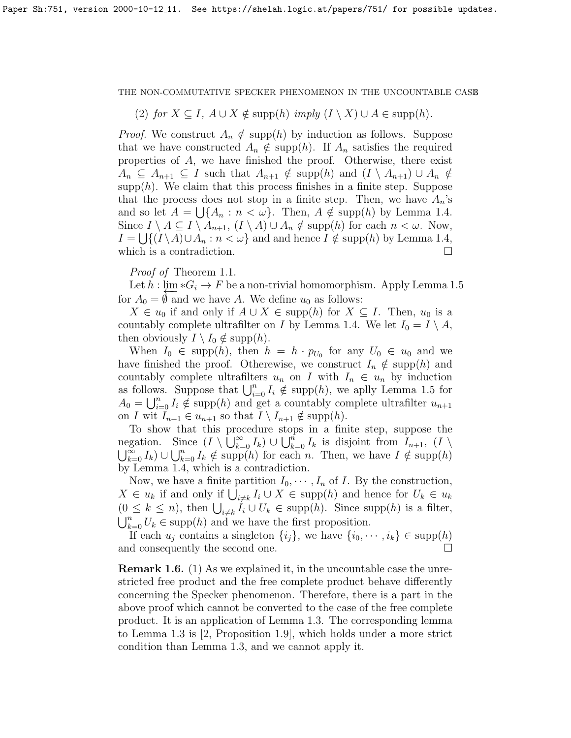### THE NON-COMMUTATIVE SPECKER PHENOMENON IN THE UNCOUNTABLE CASE

(2) for  $X \subseteq I$ ,  $A \cup X \notin \text{supp}(h)$  imply  $(I \setminus X) \cup A \in \text{supp}(h)$ .

*Proof.* We construct  $A_n \notin \text{supp}(h)$  by induction as follows. Suppose that we have constructed  $A_n \notin \text{supp}(h)$ . If  $A_n$  satisfies the required properties of A, we have finished the proof. Otherwise, there exist  $A_n \subseteq A_{n+1} \subseteq I$  such that  $A_{n+1} \notin \text{supp}(h)$  and  $(I \setminus A_{n+1}) \cup A_n \notin$  $\text{supp}(h)$ . We claim that this process finishes in a finite step. Suppose that the process does not stop in a finite step. Then, we have  $A_n$ 's and so let  $A = \bigcup \{A_n : n < \omega\}$ . Then,  $A \notin \text{supp}(h)$  by Lemma [1.4.](#page-1-2) Since  $I \setminus A \subseteq I \setminus A_{n+1}$ ,  $(I \setminus A) \cup A_n \notin \text{supp}(h)$  for each  $n < \omega$ . Now,  $I = \bigcup \{ (I \setminus A) \cup A_n : n < \omega \}$  and and hence  $I \notin \text{supp}(h)$  by Lemma [1.4,](#page-1-2) which is a contradiction.  $\Box$ 

Proof of Theorem [1.1.](#page-0-0)

Let  $h : \lim_{\Delta} * G_i \to F$  be a non-trivial homomorphism. Apply Lemma [1.5](#page-1-3) for  $A_0 = \emptyset$  and we have A. We define  $u_0$  as follows:

 $X \in u_0$  if and only if  $A \cup X \in \text{supp}(h)$  for  $X \subseteq I$ . Then,  $u_0$  is a countably complete ultrafilter on I by Lemma [1.4.](#page-1-2) We let  $I_0 = I \setminus A$ , then obviously  $I \setminus I_0 \notin \text{supp}(h)$ .

When  $I_0 \in \text{supp}(h)$ , then  $h = h \cdot p_{U_0}$  for any  $U_0 \in u_0$  and we have finished the proof. Otherewise, we construct  $I_n \notin \text{supp}(h)$  and countably complete ultrafilters  $u_n$  on I with  $I_n \in u_n$  by induction as follows. Suppose that  $\bigcup_{i=0}^{n} I_i \notin \text{supp}(h)$ , we aplly Lemma [1.5](#page-1-3) for  $A_0 = \bigcup_{i=0}^n I_i \notin \text{supp}(h)$  and get a countably complete ultrafilter  $u_{n+1}$ on I wit  $I_{n+1} \in u_{n+1}$  so that  $I \setminus I_{n+1} \notin \text{supp}(h)$ .

To show that this procedure stops in a finite step, suppose the negation. Since  $(I \setminus \bigcup_{k=0}^{\infty} I_k) \cup \bigcup_{k=0}^{n} I_k$  is disjoint from  $I_{n+1}$ ,  $(I \setminus$  $\bigcup_{k=0}^{\infty} I_k$   $\cup \bigcup_{k=0}^{n} I_k \notin \text{supp}(h)$  for each n. Then, we have  $I \notin \text{supp}(h)$ by Lemma [1.4,](#page-1-2) which is a contradiction.

Now, we have a finite partition  $I_0, \dots, I_n$  of I. By the construction,  $X \in u_k$  if and only if  $\bigcup_{i \neq k} I_i \cup X \in \text{supp}(h)$  and hence for  $U_k \in u_k$  $(0 \leq k \leq n)$ , then  $\bigcup_{i \neq k} I_i \cup U_k \in \text{supp}(h)$ . Since supp $(h)$  is a filter,  $\bigcup_{k=0}^{n} U_k \in \text{supp}(h)$  and we have the first proposition.

If each  $u_j$  contains a singleton  $\{i_j\}$ , we have  $\{i_0, \dots, i_k\} \in \text{supp}(h)$ and consequently the second one.

Remark 1.6. (1) As we explained it, in the uncountable case the unrestricted free product and the free complete product behave differently concerning the Specker phenomenon. Therefore, there is a part in the above proof which cannot be converted to the case of the free complete product. It is an application of Lemma [1.3.](#page-1-1) The corresponding lemma to Lemma [1.3](#page-1-1) is [\[2,](#page-3-5) Proposition 1.9], which holds under a more strict condition than Lemma [1.3,](#page-1-1) and we cannot apply it.